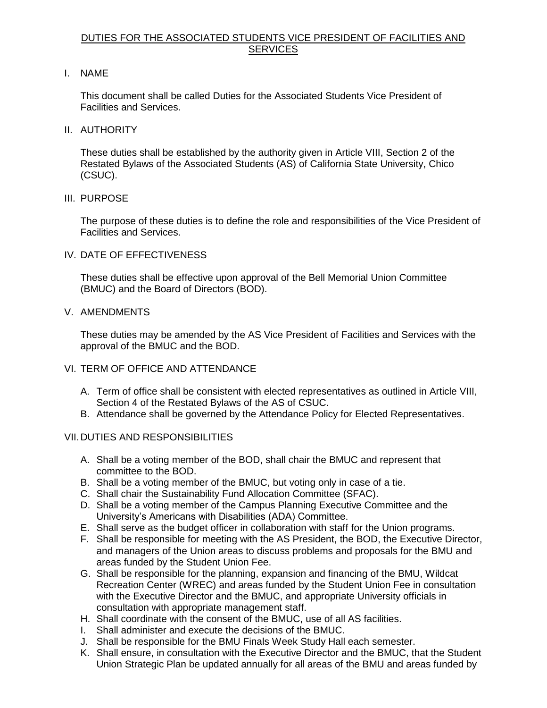## DUTIES FOR THE ASSOCIATED STUDENTS VICE PRESIDENT OF FACILITIES AND **SERVICES**

I. NAME

 This document shall be called Duties for the Associated Students Vice President of Facilities and Services.

II. AUTHORITY

 These duties shall be established by the authority given in Article VIII, Section 2 of the Restated Bylaws of the Associated Students (AS) of California State University, Chico (CSUC).

III. PURPOSE

 The purpose of these duties is to define the role and responsibilities of the Vice President of Facilities and Services.

IV. DATE OF EFFECTIVENESS

 These duties shall be effective upon approval of the Bell Memorial Union Committee (BMUC) and the Board of Directors (BOD).

V. AMENDMENTS

 These duties may be amended by the AS Vice President of Facilities and Services with the approval of the BMUC and the BOD.

- VI. TERM OF OFFICE AND ATTENDANCE
	- A. Term of office shall be consistent with elected representatives as outlined in Article VIII, Section 4 of the Restated Bylaws of the AS of CSUC.
	- B. Attendance shall be governed by the Attendance Policy for Elected Representatives.

## VII.DUTIES AND RESPONSIBILITIES

- A. Shall be a voting member of the BOD, shall chair the BMUC and represent that committee to the BOD.
- B. Shall be a voting member of the BMUC, but voting only in case of a tie.
- C. Shall chair the Sustainability Fund Allocation Committee (SFAC).
- D. Shall be a voting member of the Campus Planning Executive Committee and the University's Americans with Disabilities (ADA) Committee.
- E. Shall serve as the budget officer in collaboration with staff for the Union programs.
- F. Shall be responsible for meeting with the AS President, the BOD, the Executive Director, and managers of the Union areas to discuss problems and proposals for the BMU and areas funded by the Student Union Fee.
- G. Shall be responsible for the planning, expansion and financing of the BMU, Wildcat Recreation Center (WREC) and areas funded by the Student Union Fee in consultation with the Executive Director and the BMUC, and appropriate University officials in consultation with appropriate management staff.
- H. Shall coordinate with the consent of the BMUC, use of all AS facilities.
- I. Shall administer and execute the decisions of the BMUC.
- J. Shall be responsible for the BMU Finals Week Study Hall each semester.
- K. Shall ensure, in consultation with the Executive Director and the BMUC, that the Student Union Strategic Plan be updated annually for all areas of the BMU and areas funded by